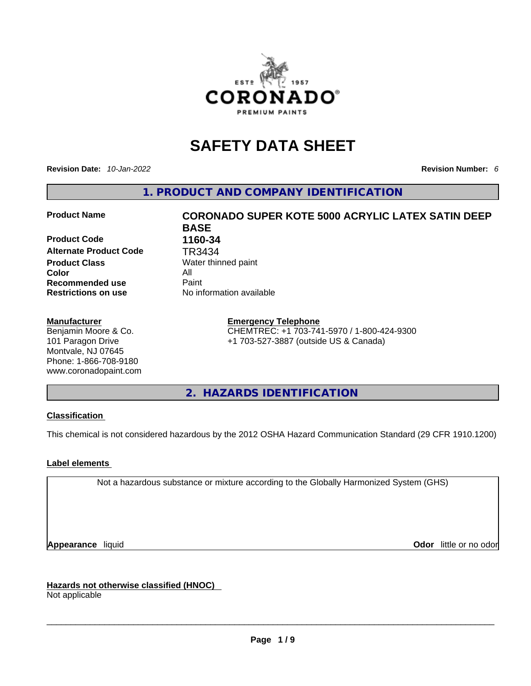

# **SAFETY DATA SHEET**

**Revision Date:** *10-Jan-2022* **Revision Number:** *6*

**1. PRODUCT AND COMPANY IDENTIFICATION** 

**Product Code 1160-34 Alternate Product Code TR3434**<br>**Product Class** Water thin **Color** All **Recommended use All Property Recommended use Restrictions on use** No information available

#### **Manufacturer**

Benjamin Moore & Co. 101 Paragon Drive Montvale, NJ 07645 Phone: 1-866-708-9180 www.coronadopaint.com

# **Product Name CORONADO SUPER KOTE 5000 ACRYLIC LATEX SATIN DEEP BASE Water thinned paint**

#### **Emergency Telephone**

CHEMTREC: +1 703-741-5970 / 1-800-424-9300 +1 703-527-3887 (outside US & Canada)

**2. HAZARDS IDENTIFICATION** 

#### **Classification**

This chemical is not considered hazardous by the 2012 OSHA Hazard Communication Standard (29 CFR 1910.1200)

#### **Label elements**

Not a hazardous substance or mixture according to the Globally Harmonized System (GHS)

**Appearance** liquid **Odor 11** and **Odor 11** and **Odor 11** and **Odor 11** and **Odor 11** and **Odor** 11 and **Odor** 11 and **Odor** 11 and **Odor** 11 and **Odor** 11 and **Odor** 11 and **Odor** 11 and **Odor** 11 and **Odor** 11 and **Odor** 

**Hazards not otherwise classified (HNOC)**  Not applicable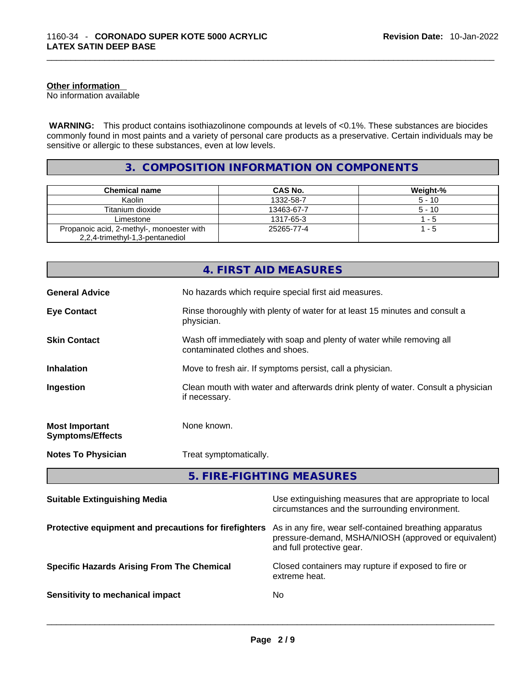#### **Other information**

No information available

 **WARNING:** This product contains isothiazolinone compounds at levels of <0.1%. These substances are biocides commonly found in most paints and a variety of personal care products as a preservative. Certain individuals may be sensitive or allergic to these substances, even at low levels.

#### **3. COMPOSITION INFORMATION ON COMPONENTS**

| <b>Chemical name</b>                      | CAS No.    | Weight-% |
|-------------------------------------------|------------|----------|
| Kaolin                                    | 1332-58-7  | $5 - 10$ |
| Titanium dioxide                          | 13463-67-7 | $5 - 10$ |
| Limestone                                 | 1317-65-3  | $1 - 5$  |
| Propanoic acid, 2-methyl-, monoester with | 25265-77-4 | 1 - 5    |
| 2,2,4-trimethyl-1,3-pentanediol           |            |          |

|                                                  | 4. FIRST AID MEASURES                                                                                    |
|--------------------------------------------------|----------------------------------------------------------------------------------------------------------|
| <b>General Advice</b>                            | No hazards which require special first aid measures.                                                     |
| <b>Eye Contact</b>                               | Rinse thoroughly with plenty of water for at least 15 minutes and consult a<br>physician.                |
| <b>Skin Contact</b>                              | Wash off immediately with soap and plenty of water while removing all<br>contaminated clothes and shoes. |
| <b>Inhalation</b>                                | Move to fresh air. If symptoms persist, call a physician.                                                |
| Ingestion                                        | Clean mouth with water and afterwards drink plenty of water. Consult a physician<br>if necessary.        |
| <b>Most Important</b><br><b>Symptoms/Effects</b> | None known.                                                                                              |
| <b>Notes To Physician</b>                        | Treat symptomatically.                                                                                   |

**5. FIRE-FIGHTING MEASURES** 

| <b>Suitable Extinguishing Media</b>                   | Use extinguishing measures that are appropriate to local<br>circumstances and the surrounding environment.                                   |
|-------------------------------------------------------|----------------------------------------------------------------------------------------------------------------------------------------------|
| Protective equipment and precautions for firefighters | As in any fire, wear self-contained breathing apparatus<br>pressure-demand, MSHA/NIOSH (approved or equivalent)<br>and full protective gear. |
| <b>Specific Hazards Arising From The Chemical</b>     | Closed containers may rupture if exposed to fire or<br>extreme heat.                                                                         |
| Sensitivity to mechanical impact                      | No.                                                                                                                                          |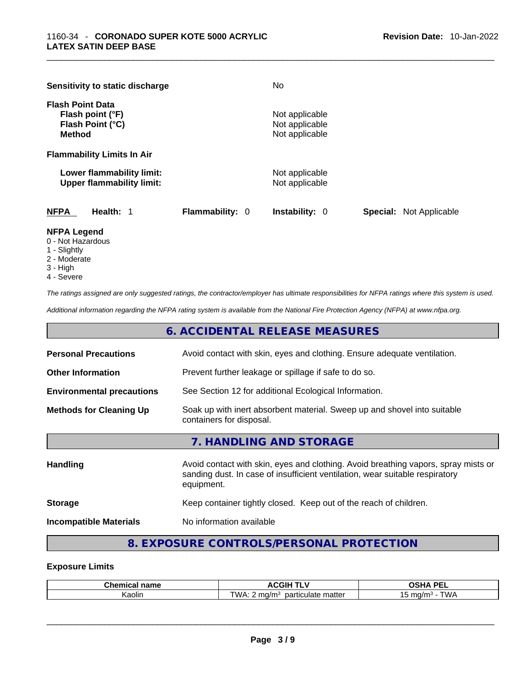|                                          | Sensitivity to static discharge                               |                        | No.                                                |                                |
|------------------------------------------|---------------------------------------------------------------|------------------------|----------------------------------------------------|--------------------------------|
| <b>Flash Point Data</b><br><b>Method</b> | Flash point (°F)<br>Flash Point (°C)                          |                        | Not applicable<br>Not applicable<br>Not applicable |                                |
|                                          | <b>Flammability Limits In Air</b>                             |                        |                                                    |                                |
|                                          | Lower flammability limit:<br><b>Upper flammability limit:</b> |                        | Not applicable<br>Not applicable                   |                                |
| <b>NFPA</b>                              | Health: 1                                                     | <b>Flammability: 0</b> | <b>Instability: 0</b>                              | <b>Special:</b> Not Applicable |

#### **NFPA Legend**

- 0 Not Hazardous
- 1 Slightly
- 2 Moderate
- 3 High
- 4 Severe

*The ratings assigned are only suggested ratings, the contractor/employer has ultimate responsibilities for NFPA ratings where this system is used.* 

*Additional information regarding the NFPA rating system is available from the National Fire Protection Agency (NFPA) at www.nfpa.org.* 

|                                  | 6. ACCIDENTAL RELEASE MEASURES                                                                       |
|----------------------------------|------------------------------------------------------------------------------------------------------|
| <b>Personal Precautions</b>      | Avoid contact with skin, eyes and clothing. Ensure adequate ventilation.                             |
| <b>Other Information</b>         | Prevent further leakage or spillage if safe to do so.                                                |
| <b>Environmental precautions</b> | See Section 12 for additional Ecological Information.                                                |
| <b>Methods for Cleaning Up</b>   | Soak up with inert absorbent material. Sweep up and shovel into suitable<br>containers for disposal. |
|                                  | 7. HANDLING AND STORAGE                                                                              |
|                                  |                                                                                                      |

| <b>Handling</b>               | Avoid contact with skin, eyes and clothing. Avoid breathing vapors, spray mists or<br>sanding dust. In case of insufficient ventilation, wear suitable respiratory<br>equipment. |  |
|-------------------------------|----------------------------------------------------------------------------------------------------------------------------------------------------------------------------------|--|
| <b>Storage</b>                | Keep container tightly closed. Keep out of the reach of children.                                                                                                                |  |
| <b>Incompatible Materials</b> | No information available                                                                                                                                                         |  |

### **8. EXPOSURE CONTROLS/PERSONAL PROTECTION**

#### **Exposure Limits**

| $\sim$ $\sim$ $\sim$ | ------                                                  | <b>DE</b>                                                          |
|----------------------|---------------------------------------------------------|--------------------------------------------------------------------|
| name                 | <b>ACGIP</b>                                            | >ш а                                                               |
| Chemical             | . .                                                     | --                                                                 |
| Kaolir               | matter<br>ma/m <sup>3</sup><br><b>WA</b><br>particulate | $T^{\prime}$ $\Lambda$ $I^{\prime}$<br>ma/m <sup>3</sup><br>v<br>՝ |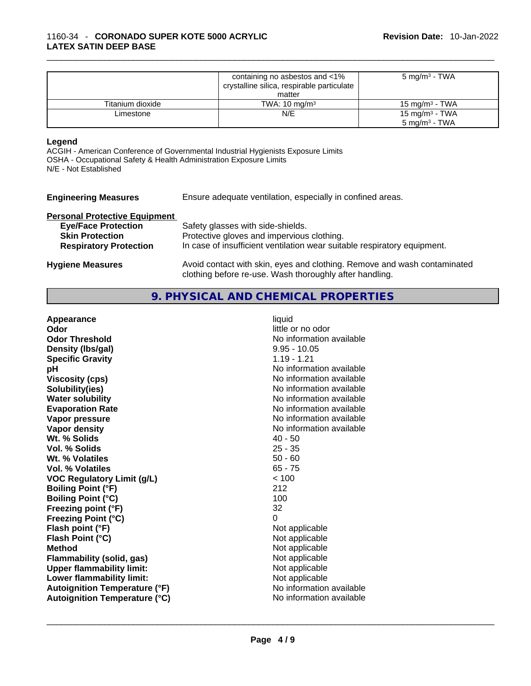|                  | containing no asbestos and <1%<br>crystalline silica, respirable particulate<br>matter | 5 mg/m <sup>3</sup> - TWA                               |
|------------------|----------------------------------------------------------------------------------------|---------------------------------------------------------|
| Titanium dioxide | TWA: $10 \text{ mg/m}^3$                                                               | $15 \text{ mg/m}^3$ - TWA                               |
| Limestone        | N/E                                                                                    | 15 mg/m <sup>3</sup> - TWA<br>5 mg/m <sup>3</sup> - TWA |

#### **Legend**

ACGIH - American Conference of Governmental Industrial Hygienists Exposure Limits OSHA - Occupational Safety & Health Administration Exposure Limits N/E - Not Established

| <b>Engineering Measures</b>          | Ensure adequate ventilation, especially in confined areas.               |  |  |
|--------------------------------------|--------------------------------------------------------------------------|--|--|
| <b>Personal Protective Equipment</b> |                                                                          |  |  |
| <b>Eye/Face Protection</b>           | Safety glasses with side-shields.                                        |  |  |
| <b>Skin Protection</b>               | Protective gloves and impervious clothing.                               |  |  |
| <b>Respiratory Protection</b>        | In case of insufficient ventilation wear suitable respiratory equipment. |  |  |
| <b>Hygiene Measures</b>              | Avoid contact with skin, eyes and clothing. Remove and wash contaminated |  |  |

#### **9. PHYSICAL AND CHEMICAL PROPERTIES**

clothing before re-use. Wash thoroughly after handling.

| Appearance                           | liquid                   |
|--------------------------------------|--------------------------|
| Odor                                 | little or no odor        |
| <b>Odor Threshold</b>                | No information available |
| Density (Ibs/gal)                    | $9.95 - 10.05$           |
| <b>Specific Gravity</b>              | $1.19 - 1.21$            |
| рH                                   | No information available |
| <b>Viscosity (cps)</b>               | No information available |
| Solubility(ies)                      | No information available |
| <b>Water solubility</b>              | No information available |
| <b>Evaporation Rate</b>              | No information available |
| Vapor pressure                       | No information available |
| <b>Vapor density</b>                 | No information available |
| Wt. % Solids                         | $40 - 50$                |
| <b>Vol. % Solids</b>                 | $25 - 35$                |
| Wt. % Volatiles                      | $50 - 60$                |
| Vol. % Volatiles                     | $65 - 75$                |
| <b>VOC Regulatory Limit (g/L)</b>    | < 100                    |
| <b>Boiling Point (°F)</b>            | 212                      |
| <b>Boiling Point (°C)</b>            | 100                      |
| Freezing point (°F)                  | 32                       |
| <b>Freezing Point (°C)</b>           | 0                        |
| Flash point (°F)                     | Not applicable           |
| Flash Point (°C)                     | Not applicable           |
| <b>Method</b>                        | Not applicable           |
| <b>Flammability (solid, gas)</b>     | Not applicable           |
| <b>Upper flammability limit:</b>     | Not applicable           |
| Lower flammability limit:            | Not applicable           |
| <b>Autoignition Temperature (°F)</b> | No information available |
| <b>Autoignition Temperature (°C)</b> | No information available |
|                                      |                          |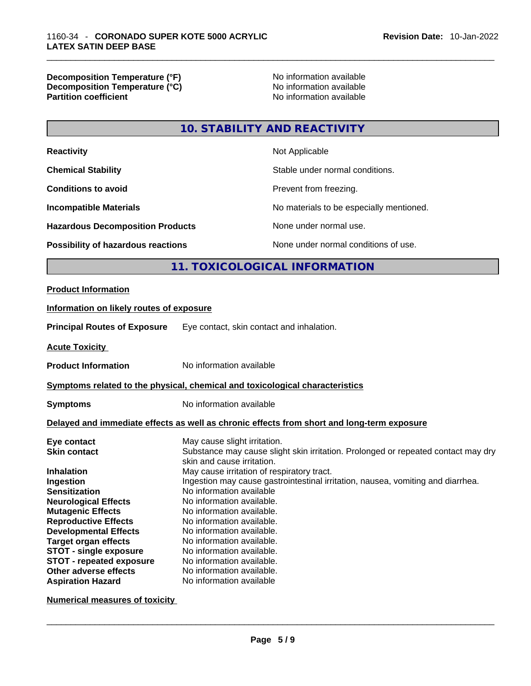#### **Decomposition Temperature (°F)** No information available **Decomposition Temperature (°C)** No information available **Partition coefficient**

## **10. STABILITY AND REACTIVITY**

| <b>Reactivity</b>                                                            | Not Applicable                                                                  |                                                                                            |  |
|------------------------------------------------------------------------------|---------------------------------------------------------------------------------|--------------------------------------------------------------------------------------------|--|
| <b>Chemical Stability</b>                                                    |                                                                                 | Stable under normal conditions.                                                            |  |
| <b>Conditions to avoid</b>                                                   |                                                                                 | Prevent from freezing.                                                                     |  |
| <b>Incompatible Materials</b>                                                |                                                                                 | No materials to be especially mentioned.                                                   |  |
| <b>Hazardous Decomposition Products</b>                                      |                                                                                 | None under normal use.                                                                     |  |
| Possibility of hazardous reactions                                           |                                                                                 | None under normal conditions of use.                                                       |  |
|                                                                              |                                                                                 | 11. TOXICOLOGICAL INFORMATION                                                              |  |
| <b>Product Information</b>                                                   |                                                                                 |                                                                                            |  |
| Information on likely routes of exposure                                     |                                                                                 |                                                                                            |  |
| <b>Principal Routes of Exposure</b>                                          | Eye contact, skin contact and inhalation.                                       |                                                                                            |  |
| <b>Acute Toxicity</b>                                                        |                                                                                 |                                                                                            |  |
| <b>Product Information</b>                                                   | No information available                                                        |                                                                                            |  |
| Symptoms related to the physical, chemical and toxicological characteristics |                                                                                 |                                                                                            |  |
| <b>Symptoms</b>                                                              | No information available                                                        |                                                                                            |  |
|                                                                              |                                                                                 | Delayed and immediate effects as well as chronic effects from short and long-term exposure |  |
| Eye contact                                                                  | May cause slight irritation.                                                    |                                                                                            |  |
| <b>Skin contact</b>                                                          |                                                                                 | Substance may cause slight skin irritation. Prolonged or repeated contact may dry          |  |
| Inhalation                                                                   | skin and cause irritation.<br>May cause irritation of respiratory tract.        |                                                                                            |  |
| Ingestion                                                                    | Ingestion may cause gastrointestinal irritation, nausea, vomiting and diarrhea. |                                                                                            |  |
| <b>Sensitization</b>                                                         | No information available                                                        |                                                                                            |  |
| <b>Neurological Effects</b>                                                  | No information available.                                                       |                                                                                            |  |
| <b>Mutagenic Effects</b>                                                     | No information available.                                                       |                                                                                            |  |
| <b>Reproductive Effects</b>                                                  | No information available.                                                       |                                                                                            |  |
| <b>Developmental Effects</b>                                                 | No information available.                                                       |                                                                                            |  |
| <b>Target organ effects</b>                                                  | No information available.                                                       |                                                                                            |  |
| <b>STOT - single exposure</b>                                                | No information available.                                                       |                                                                                            |  |
| <b>STOT - repeated exposure</b>                                              | No information available.                                                       |                                                                                            |  |
| Other adverse effects                                                        | No information available.                                                       |                                                                                            |  |
| <b>Aspiration Hazard</b>                                                     | No information available                                                        |                                                                                            |  |

**Numerical measures of toxicity**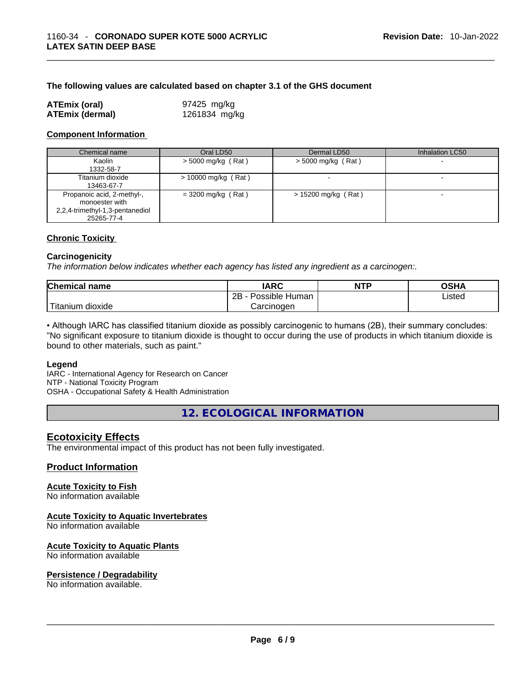#### **The following values are calculated based on chapter 3.1 of the GHS document**

| <b>ATEmix (oral)</b>   | 97425 mg/kg   |
|------------------------|---------------|
| <b>ATEmix (dermal)</b> | 1261834 mg/kg |

#### **Component Information**

| Chemical name                                                                                 | Oral LD50             | Dermal LD50           | Inhalation LC50          |
|-----------------------------------------------------------------------------------------------|-----------------------|-----------------------|--------------------------|
| Kaolin<br>1332-58-7                                                                           | > 5000 mg/kg (Rat)    | $>$ 5000 mg/kg (Rat)  |                          |
| Titanium dioxide<br>13463-67-7                                                                | $> 10000$ mg/kg (Rat) |                       | $\overline{\phantom{0}}$ |
| Propanoic acid, 2-methyl-,<br>monoester with<br>2,2,4-trimethyl-1,3-pentanediol<br>25265-77-4 | $=$ 3200 mg/kg (Rat)  | $> 15200$ mg/kg (Rat) |                          |

#### **Chronic Toxicity**

#### **Carcinogenicity**

*The information below indicates whether each agency has listed any ingredient as a carcinogen:.* 

| <b>Chemical name</b>    | IARC                 | <b>NTP</b> | OSHA   |
|-------------------------|----------------------|------------|--------|
|                         | 2B<br>Possible Human |            | Listed |
| ' Titanium J<br>dioxide | Carcinoɑen           |            |        |

• Although IARC has classified titanium dioxide as possibly carcinogenic to humans (2B), their summary concludes: "No significant exposure to titanium dioxide is thought to occur during the use of products in which titanium dioxide is bound to other materials, such as paint."

#### **Legend**

IARC - International Agency for Research on Cancer NTP - National Toxicity Program OSHA - Occupational Safety & Health Administration

**12. ECOLOGICAL INFORMATION** 

#### **Ecotoxicity Effects**

The environmental impact of this product has not been fully investigated.

#### **Product Information**

#### **Acute Toxicity to Fish**

No information available

#### **Acute Toxicity to Aquatic Invertebrates**

No information available

#### **Acute Toxicity to Aquatic Plants**

No information available

# **Persistence / Degradability**

No information available. \_\_\_\_\_\_\_\_\_\_\_\_\_\_\_\_\_\_\_\_\_\_\_\_\_\_\_\_\_\_\_\_\_\_\_\_\_\_\_\_\_\_\_\_\_\_\_\_\_\_\_\_\_\_\_\_\_\_\_\_\_\_\_\_\_\_\_\_\_\_\_\_\_\_\_\_\_\_\_\_\_\_\_\_\_\_\_\_\_\_\_\_\_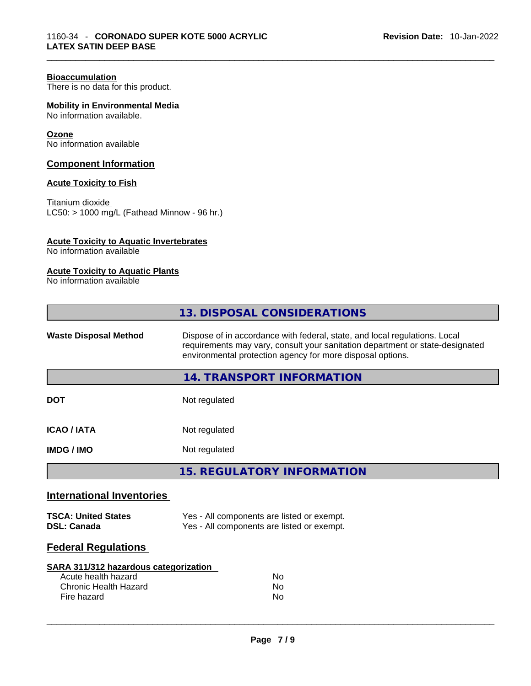#### **Bioaccumulation**

There is no data for this product.

**Mobility in Environmental Media**

No information available.

#### **Ozone**

No information available

#### **Component Information**

#### **Acute Toxicity to Fish**

Titanium dioxide LC50: > 1000 mg/L (Fathead Minnow - 96 hr.)

#### **Acute Toxicity to Aquatic Invertebrates**

No information available

#### **Acute Toxicity to Aquatic Plants**

No information available

| <b>Waste Disposal Method</b><br>Dispose of in accordance with federal, state, and local regulations. Local<br>requirements may vary, consult your sanitation department or state-designated<br>environmental protection agency for more disposal options.<br><b>14. TRANSPORT INFORMATION</b><br><b>DOT</b><br>Not regulated<br><b>ICAO/IATA</b><br>Not regulated<br><b>IMDG/IMO</b><br>Not regulated<br><b>15. REGULATORY INFORMATION</b><br><b>International Inventories</b><br>Yes - All components are listed or exempt.<br><b>TSCA: United States</b><br>Yes - All components are listed or exempt.<br><b>DSL: Canada</b><br><b>Federal Regulations</b><br><b>SARA 311/312 hazardous categorization</b><br>Acute health hazard<br><b>No</b><br>Chronic Health Hazard<br>No.<br>Fire hazard<br>No | 13. DISPOSAL CONSIDERATIONS |  |  |
|-------------------------------------------------------------------------------------------------------------------------------------------------------------------------------------------------------------------------------------------------------------------------------------------------------------------------------------------------------------------------------------------------------------------------------------------------------------------------------------------------------------------------------------------------------------------------------------------------------------------------------------------------------------------------------------------------------------------------------------------------------------------------------------------------------|-----------------------------|--|--|
|                                                                                                                                                                                                                                                                                                                                                                                                                                                                                                                                                                                                                                                                                                                                                                                                       |                             |  |  |
|                                                                                                                                                                                                                                                                                                                                                                                                                                                                                                                                                                                                                                                                                                                                                                                                       |                             |  |  |
|                                                                                                                                                                                                                                                                                                                                                                                                                                                                                                                                                                                                                                                                                                                                                                                                       |                             |  |  |
|                                                                                                                                                                                                                                                                                                                                                                                                                                                                                                                                                                                                                                                                                                                                                                                                       |                             |  |  |
|                                                                                                                                                                                                                                                                                                                                                                                                                                                                                                                                                                                                                                                                                                                                                                                                       |                             |  |  |
|                                                                                                                                                                                                                                                                                                                                                                                                                                                                                                                                                                                                                                                                                                                                                                                                       |                             |  |  |
|                                                                                                                                                                                                                                                                                                                                                                                                                                                                                                                                                                                                                                                                                                                                                                                                       |                             |  |  |
|                                                                                                                                                                                                                                                                                                                                                                                                                                                                                                                                                                                                                                                                                                                                                                                                       |                             |  |  |
|                                                                                                                                                                                                                                                                                                                                                                                                                                                                                                                                                                                                                                                                                                                                                                                                       |                             |  |  |
|                                                                                                                                                                                                                                                                                                                                                                                                                                                                                                                                                                                                                                                                                                                                                                                                       |                             |  |  |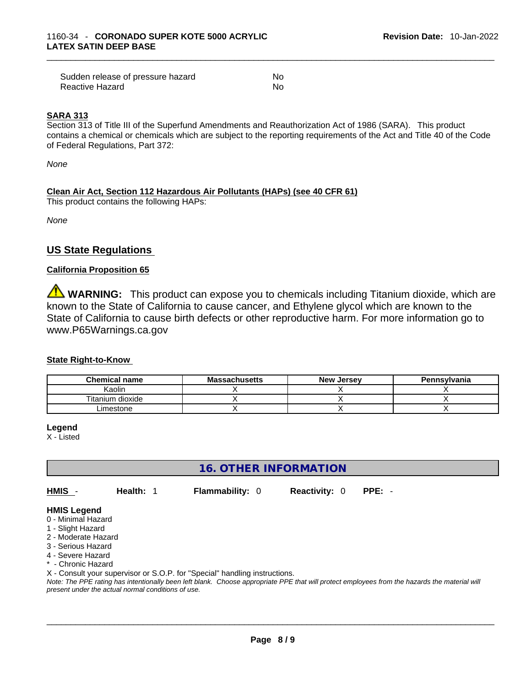| Sudden release of pressure hazard | No  |
|-----------------------------------|-----|
| Reactive Hazard                   | No. |

#### **SARA 313**

Section 313 of Title III of the Superfund Amendments and Reauthorization Act of 1986 (SARA). This product contains a chemical or chemicals which are subject to the reporting requirements of the Act and Title 40 of the Code of Federal Regulations, Part 372:

*None*

#### **Clean Air Act,Section 112 Hazardous Air Pollutants (HAPs) (see 40 CFR 61)**

This product contains the following HAPs:

*None*

#### **US State Regulations**

#### **California Proposition 65**

**WARNING:** This product can expose you to chemicals including Titanium dioxide, which are known to the State of California to cause cancer, and Ethylene glycol which are known to the State of California to cause birth defects or other reproductive harm. For more information go to www.P65Warnings.ca.gov

#### **State Right-to-Know**

| <b>Chemical name</b> | <b>Massachusetts</b> | <b>New Jersey</b> | Pennsylvania |
|----------------------|----------------------|-------------------|--------------|
| Kaolin               |                      |                   |              |
| Titanium dioxide     |                      |                   |              |
| Limestone            |                      |                   |              |

**Legend**

X - Listed

#### **16. OTHER INFORMATION**

**HMIS** - **Health:** 1 **Flammability:** 0 **Reactivity:** 0 **PPE:** -

#### **HMIS Legend**

- 0 Minimal Hazard
- 1 Slight Hazard
- 2 Moderate Hazard
- 3 Serious Hazard
- 4 Severe Hazard
- \* Chronic Hazard

X - Consult your supervisor or S.O.P. for "Special" handling instructions.

Note: The PPE rating has intentionally been left blank. Choose appropriate PPE that will protect employees from the hazards the material will *present under the actual normal conditions of use.*